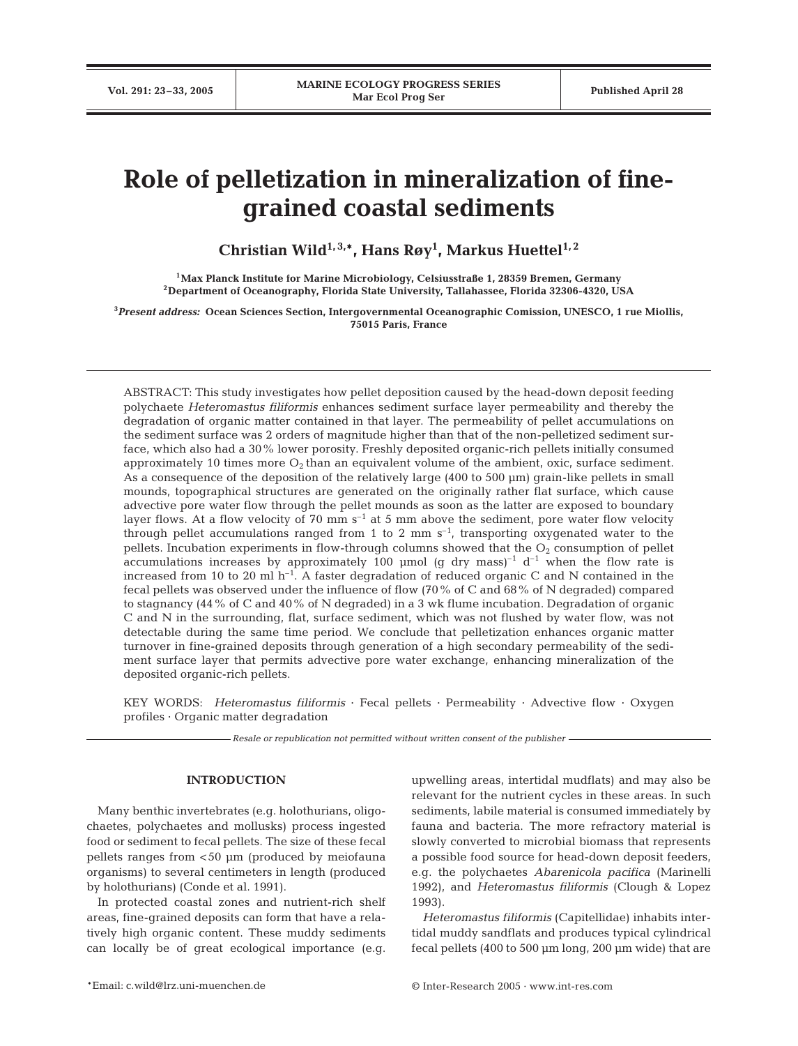# **Role of pelletization in mineralization of finegrained coastal sediments**

**Christian Wild1, 3,\*, Hans Røy1 , Markus Huettel1, 2**

**1Max Planck Institute for Marine Microbiology, Celsiusstraße 1, 28359 Bremen, Germany 2Department of Oceanography, Florida State University, Tallahassee, Florida 32306-4320, USA**

**3** *Present address:* **Ocean Sciences Section, Intergovernmental Oceanographic Comission, UNESCO, 1 rue Miollis, 75015 Paris, France**

ABSTRACT: This study investigates how pellet deposition caused by the head-down deposit feeding polychaete *Heteromastus filiformis* enhances sediment surface layer permeability and thereby the degradation of organic matter contained in that layer. The permeability of pellet accumulations on the sediment surface was 2 orders of magnitude higher than that of the non-pelletized sediment surface, which also had a 30% lower porosity. Freshly deposited organic-rich pellets initially consumed approximately 10 times more  $O_2$  than an equivalent volume of the ambient, oxic, surface sediment. As a consequence of the deposition of the relatively large (400 to 500 µm) grain-like pellets in small mounds, topographical structures are generated on the originally rather flat surface, which cause advective pore water flow through the pellet mounds as soon as the latter are exposed to boundary layer flows. At a flow velocity of 70 mm  $s^{-1}$  at 5 mm above the sediment, pore water flow velocity through pellet accumulations ranged from 1 to 2 mm  $s^{-1}$ , transporting oxygenated water to the pellets. Incubation experiments in flow-through columns showed that the  $O<sub>2</sub>$  consumption of pellet accumulations increases by approximately 100 µmol (g dry mass)<sup>-1</sup> d<sup>-1</sup> when the flow rate is increased from 10 to 20 ml  $h^{-1}$ . A faster degradation of reduced organic C and N contained in the fecal pellets was observed under the influence of flow (70% of C and 68% of N degraded) compared to stagnancy (44% of C and 40% of N degraded) in a 3 wk flume incubation. Degradation of organic C and N in the surrounding, flat, surface sediment, which was not flushed by water flow, was not detectable during the same time period. We conclude that pelletization enhances organic matter turnover in fine-grained deposits through generation of a high secondary permeability of the sediment surface layer that permits advective pore water exchange, enhancing mineralization of the deposited organic-rich pellets.

KEY WORDS: *Heteromastus filiformis* · Fecal pellets · Permeability · Advective flow · Oxygen profiles · Organic matter degradation

*Resale or republication not permitted without written consent of the publisher*

# **INTRODUCTION**

Many benthic invertebrates (e.g. holothurians, oligochaetes, polychaetes and mollusks) process ingested food or sediment to fecal pellets. The size of these fecal pellets ranges from <50 µm (produced by meiofauna organisms) to several centimeters in length (produced by holothurians) (Conde et al. 1991).

In protected coastal zones and nutrient-rich shelf areas, fine-grained deposits can form that have a relatively high organic content. These muddy sediments can locally be of great ecological importance (e.g.

upwelling areas, intertidal mudflats) and may also be relevant for the nutrient cycles in these areas. In such sediments, labile material is consumed immediately by fauna and bacteria. The more refractory material is slowly converted to microbial biomass that represents a possible food source for head-down deposit feeders, e.g. the polychaetes *Abarenicola pacifica* (Marinelli 1992), and *Heteromastus filiformis* (Clough & Lopez 1993).

*Heteromastus filiformis* (Capitellidae) inhabits intertidal muddy sandflats and produces typical cylindrical fecal pellets (400 to 500 µm long, 200 µm wide) that are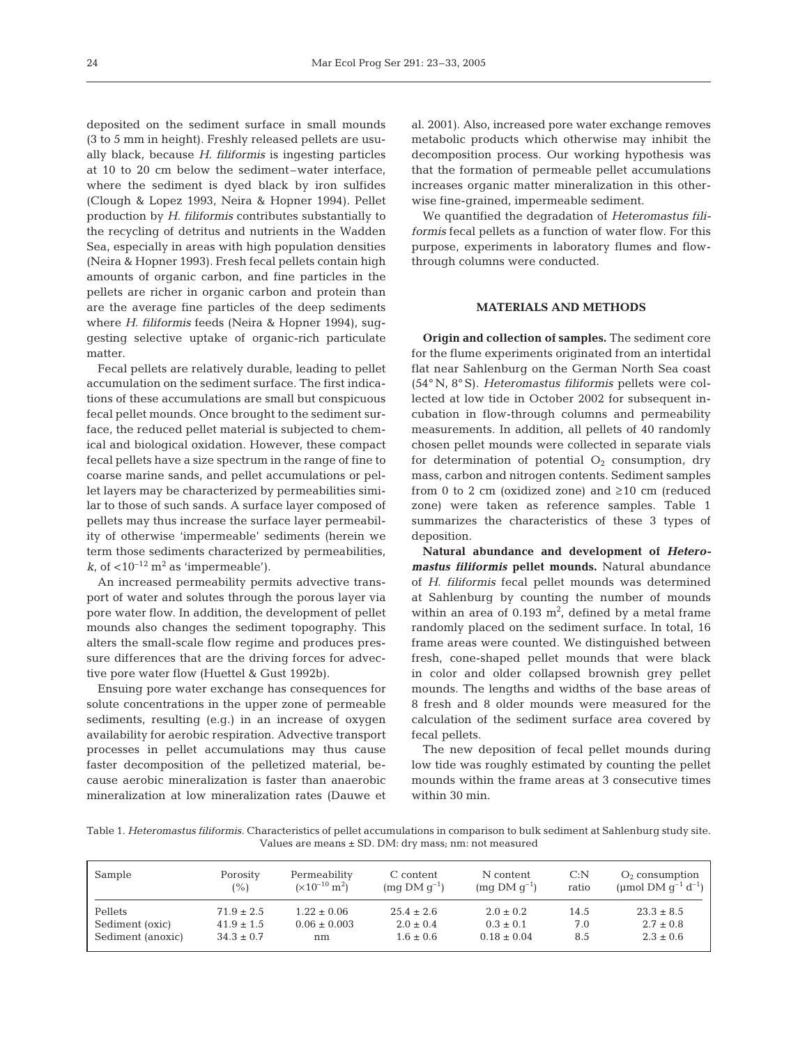deposited on the sediment surface in small mounds (3 to 5 mm in height). Freshly released pellets are usually black, because *H. filiformis* is ingesting particles at 10 to 20 cm below the sediment–water interface, where the sediment is dyed black by iron sulfides (Clough & Lopez 1993, Neira & Hopner 1994). Pellet production by *H. filiformis* contributes substantially to the recycling of detritus and nutrients in the Wadden Sea, especially in areas with high population densities (Neira & Hopner 1993). Fresh fecal pellets contain high amounts of organic carbon, and fine particles in the pellets are richer in organic carbon and protein than are the average fine particles of the deep sediments where *H. filiformis* feeds (Neira & Hopner 1994), suggesting selective uptake of organic-rich particulate matter.

Fecal pellets are relatively durable, leading to pellet accumulation on the sediment surface. The first indications of these accumulations are small but conspicuous fecal pellet mounds. Once brought to the sediment surface, the reduced pellet material is subjected to chemical and biological oxidation. However, these compact fecal pellets have a size spectrum in the range of fine to coarse marine sands, and pellet accumulations or pellet layers may be characterized by permeabilities similar to those of such sands. A surface layer composed of pellets may thus increase the surface layer permeability of otherwise 'impermeable' sediments (herein we term those sediments characterized by permeabilities,  $k$ , of  $\langle 10^{-12} \text{ m}^2 \text{ as 'impermeable'} \rangle$ .

An increased permeability permits advective transport of water and solutes through the porous layer via pore water flow. In addition, the development of pellet mounds also changes the sediment topography. This alters the small-scale flow regime and produces pressure differences that are the driving forces for advective pore water flow (Huettel & Gust 1992b).

Ensuing pore water exchange has consequences for solute concentrations in the upper zone of permeable sediments, resulting (e.g.) in an increase of oxygen availability for aerobic respiration. Advective transport processes in pellet accumulations may thus cause faster decomposition of the pelletized material, because aerobic mineralization is faster than anaerobic mineralization at low mineralization rates (Dauwe et al. 2001). Also, increased pore water exchange removes metabolic products which otherwise may inhibit the decomposition process. Our working hypothesis was that the formation of permeable pellet accumulations increases organic matter mineralization in this otherwise fine-grained, impermeable sediment.

We quantified the degradation of *Heteromastus filiformis* fecal pellets as a function of water flow. For this purpose, experiments in laboratory flumes and flowthrough columns were conducted.

### **MATERIALS AND METHODS**

**Origin and collection of samples.** The sediment core for the flume experiments originated from an intertidal flat near Sahlenburg on the German North Sea coast (54° N, 8° S). *Heteromastus filiformis* pellets were collected at low tide in October 2002 for subsequent incubation in flow-through columns and permeability measurements. In addition, all pellets of 40 randomly chosen pellet mounds were collected in separate vials for determination of potential  $O_2$  consumption, dry mass, carbon and nitrogen contents. Sediment samples from 0 to 2 cm (oxidized zone) and  $\geq 10$  cm (reduced zone) were taken as reference samples. Table 1 summarizes the characteristics of these 3 types of deposition.

**Natural abundance and development of** *Heteromastus filiformis* **pellet mounds.** Natural abundance of *H. filiformis* fecal pellet mounds was determined at Sahlenburg by counting the number of mounds within an area of  $0.193 \text{ m}^2$ , defined by a metal frame randomly placed on the sediment surface. In total, 16 frame areas were counted. We distinguished between fresh, cone-shaped pellet mounds that were black in color and older collapsed brownish grey pellet mounds. The lengths and widths of the base areas of 8 fresh and 8 older mounds were measured for the calculation of the sediment surface area covered by fecal pellets.

The new deposition of fecal pellet mounds during low tide was roughly estimated by counting the pellet mounds within the frame areas at 3 consecutive times within 30 min.

Table 1. *Heteromastus filiformis.* Characteristics of pellet accumulations in comparison to bulk sediment at Sahlenburg study site. Values are means ± SD. DM: dry mass; nm: not measured

| Sample            | Porosity       | Permeability              | C content        | N content              | C: N  | $O2$ consumption           |
|-------------------|----------------|---------------------------|------------------|------------------------|-------|----------------------------|
|                   | (%)            | $(x10^{-10} \text{ m}^2)$ | $(mq DM q^{-1})$ | $\rm (mq\,DM\,q^{-1})$ | ratio | (µmol DM $q^{-1} d^{-1}$ ) |
| Pellets           | $71.9 \pm 2.5$ | $1.22 \pm 0.06$           | $25.4 \pm 2.6$   | $2.0 \pm 0.2$          | 14.5  | $23.3 \pm 8.5$             |
| Sediment (oxic)   | $41.9 \pm 1.5$ | $0.06 \pm 0.003$          | $2.0 \pm 0.4$    | $0.3 \pm 0.1$          | 7.0   | $2.7 \pm 0.8$              |
| Sediment (anoxic) | $34.3 \pm 0.7$ | nm                        | $1.6 \pm 0.6$    | $0.18 \pm 0.04$        | 8.5   | $2.3 \pm 0.6$              |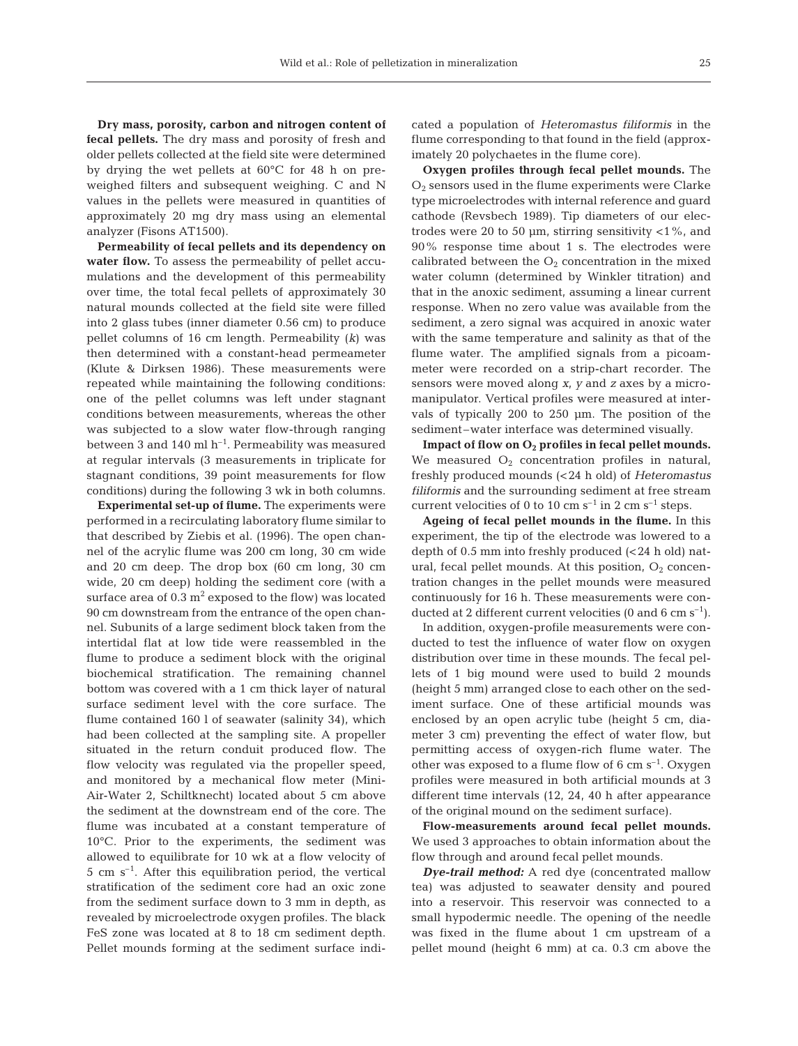**Dry mass, porosity, carbon and nitrogen content of fecal pellets.** The dry mass and porosity of fresh and older pellets collected at the field site were determined by drying the wet pellets at 60°C for 48 h on preweighed filters and subsequent weighing. C and N values in the pellets were measured in quantities of approximately 20 mg dry mass using an elemental analyzer (Fisons AT1500).

**Permeability of fecal pellets and its dependency on** water flow. To assess the permeability of pellet accumulations and the development of this permeability over time, the total fecal pellets of approximately 30 natural mounds collected at the field site were filled into 2 glass tubes (inner diameter 0.56 cm) to produce pellet columns of 16 cm length. Permeability (*k*) was then determined with a constant-head permeameter (Klute & Dirksen 1986). These measurements were repeated while maintaining the following conditions: one of the pellet columns was left under stagnant conditions between measurements, whereas the other was subjected to a slow water flow-through ranging between 3 and 140 ml  $h^{-1}$ . Permeability was measured at regular intervals (3 measurements in triplicate for stagnant conditions, 39 point measurements for flow conditions) during the following 3 wk in both columns.

**Experimental set-up of flume.** The experiments were performed in a recirculating laboratory flume similar to that described by Ziebis et al. (1996). The open channel of the acrylic flume was 200 cm long, 30 cm wide and 20 cm deep. The drop box (60 cm long, 30 cm wide, 20 cm deep) holding the sediment core (with a surface area of  $0.3 \text{ m}^2$  exposed to the flow) was located 90 cm downstream from the entrance of the open channel. Subunits of a large sediment block taken from the intertidal flat at low tide were reassembled in the flume to produce a sediment block with the original biochemical stratification. The remaining channel bottom was covered with a 1 cm thick layer of natural surface sediment level with the core surface. The flume contained 160 l of seawater (salinity 34), which had been collected at the sampling site. A propeller situated in the return conduit produced flow. The flow velocity was regulated via the propeller speed, and monitored by a mechanical flow meter (Mini-Air-Water 2, Schiltknecht) located about 5 cm above the sediment at the downstream end of the core. The flume was incubated at a constant temperature of 10°C. Prior to the experiments, the sediment was allowed to equilibrate for 10 wk at a flow velocity of  $5 \text{ cm s}^{-1}$ . After this equilibration period, the vertical stratification of the sediment core had an oxic zone from the sediment surface down to 3 mm in depth, as revealed by microelectrode oxygen profiles. The black FeS zone was located at 8 to 18 cm sediment depth. Pellet mounds forming at the sediment surface indicated a population of *Heteromastus filiformis* in the flume corresponding to that found in the field (approximately 20 polychaetes in the flume core).

**Oxygen profiles through fecal pellet mounds.** The  $O<sub>2</sub>$  sensors used in the flume experiments were Clarke type microelectrodes with internal reference and guard cathode (Revsbech 1989). Tip diameters of our electrodes were 20 to 50  $\mu$ m, stirring sensitivity <1%, and 90% response time about 1 s. The electrodes were calibrated between the  $O_2$  concentration in the mixed water column (determined by Winkler titration) and that in the anoxic sediment, assuming a linear current response. When no zero value was available from the sediment, a zero signal was acquired in anoxic water with the same temperature and salinity as that of the flume water. The amplified signals from a picoammeter were recorded on a strip-chart recorder. The sensors were moved along *x*, *y* and *z* axes by a micromanipulator. Vertical profiles were measured at intervals of typically 200 to 250 µm. The position of the sediment–water interface was determined visually.

**Impact of flow on O2 profiles in fecal pellet mounds.** We measured  $O_2$  concentration profiles in natural, freshly produced mounds (<24 h old) of *Heteromastus filiformis* and the surrounding sediment at free stream current velocities of 0 to 10 cm  $s^{-1}$  in 2 cm  $s^{-1}$  steps.

**Ageing of fecal pellet mounds in the flume.** In this experiment, the tip of the electrode was lowered to a depth of 0.5 mm into freshly produced (<24 h old) natural, fecal pellet mounds. At this position,  $O_2$  concentration changes in the pellet mounds were measured continuously for 16 h. These measurements were conducted at 2 different current velocities (0 and 6 cm  $s^{-1}$ ).

In addition, oxygen-profile measurements were conducted to test the influence of water flow on oxygen distribution over time in these mounds. The fecal pellets of 1 big mound were used to build 2 mounds (height 5 mm) arranged close to each other on the sediment surface. One of these artificial mounds was enclosed by an open acrylic tube (height 5 cm, diameter 3 cm) preventing the effect of water flow, but permitting access of oxygen-rich flume water. The other was exposed to a flume flow of  $6 \text{ cm s}^{-1}$ . Oxygen profiles were measured in both artificial mounds at 3 different time intervals (12, 24, 40 h after appearance of the original mound on the sediment surface).

**Flow-measurements around fecal pellet mounds.** We used 3 approaches to obtain information about the flow through and around fecal pellet mounds.

*Dye-trail method:* A red dye (concentrated mallow tea) was adjusted to seawater density and poured into a reservoir. This reservoir was connected to a small hypodermic needle. The opening of the needle was fixed in the flume about 1 cm upstream of a pellet mound (height 6 mm) at ca. 0.3 cm above the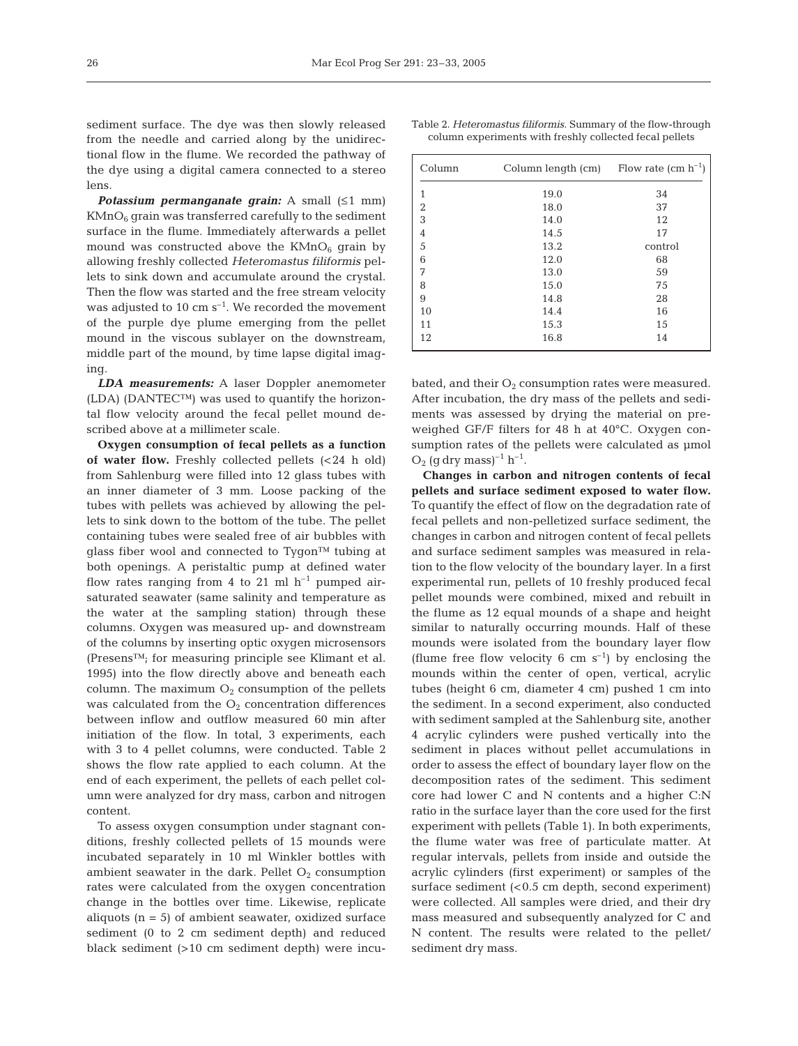sediment surface. The dye was then slowly released from the needle and carried along by the unidirectional flow in the flume. We recorded the pathway of the dye using a digital camera connected to a stereo lens.

*Potassium permanganate grain:* A small (≤1 mm)  $KMnO<sub>6</sub>$  grain was transferred carefully to the sediment surface in the flume. Immediately afterwards a pellet mound was constructed above the  $KMnO<sub>6</sub>$  grain by allowing freshly collected *Heteromastus filiformis* pellets to sink down and accumulate around the crystal. Then the flow was started and the free stream velocity was adjusted to 10 cm  $s^{-1}$ . We recorded the movement of the purple dye plume emerging from the pellet mound in the viscous sublayer on the downstream, middle part of the mound, by time lapse digital imaging.

*LDA measurements:* A laser Doppler anemometer  $(LDA)$  (DANTEC<sup>™</sup>) was used to quantify the horizontal flow velocity around the fecal pellet mound described above at a millimeter scale.

**Oxygen consumption of fecal pellets as a function of water flow.** Freshly collected pellets (<24 h old) from Sahlenburg were filled into 12 glass tubes with an inner diameter of 3 mm. Loose packing of the tubes with pellets was achieved by allowing the pellets to sink down to the bottom of the tube. The pellet containing tubes were sealed free of air bubbles with glass fiber wool and connected to Tygon™ tubing at both openings. A peristaltic pump at defined water flow rates ranging from 4 to 21 ml  $h^{-1}$  pumped airsaturated seawater (same salinity and temperature as the water at the sampling station) through these columns. Oxygen was measured up- and downstream of the columns by inserting optic oxygen microsensors (Presens™; for measuring principle see Klimant et al. 1995) into the flow directly above and beneath each column. The maximum  $O_2$  consumption of the pellets was calculated from the  $O_2$  concentration differences between inflow and outflow measured 60 min after initiation of the flow. In total, 3 experiments, each with 3 to 4 pellet columns, were conducted. Table 2 shows the flow rate applied to each column. At the end of each experiment, the pellets of each pellet column were analyzed for dry mass, carbon and nitrogen content.

To assess oxygen consumption under stagnant conditions, freshly collected pellets of 15 mounds were incubated separately in 10 ml Winkler bottles with ambient seawater in the dark. Pellet  $O_2$  consumption rates were calculated from the oxygen concentration change in the bottles over time. Likewise, replicate aliquots  $(n = 5)$  of ambient seawater, oxidized surface sediment (0 to 2 cm sediment depth) and reduced black sediment (>10 cm sediment depth) were incu-

|  |  |  |  |                                                         |  |  | Table 2. <i>Heteromastus filiformis</i> . Summary of the flow-through |
|--|--|--|--|---------------------------------------------------------|--|--|-----------------------------------------------------------------------|
|  |  |  |  | column experiments with freshly collected fecal pellets |  |  |                                                                       |

| Column         | Column length (cm) | Flow rate $(cm h^{-1})$ |
|----------------|--------------------|-------------------------|
| 1              | 19.0               | 34                      |
| $\overline{2}$ | 18.0               | 37                      |
| 3              | 14.0               | 12                      |
| $\overline{4}$ | 14.5               | 17                      |
| 5              | 13.2               | control                 |
| 6              | 12.0               | 68                      |
| 7              | 13.0               | 59                      |
| 8              | 15.0               | 75                      |
| 9              | 14.8               | 28                      |
| 10             | 14.4               | 16                      |
| 11             | 15.3               | 15                      |
| 12             | 16.8               | 14                      |

bated, and their  $O_2$  consumption rates were measured. After incubation, the dry mass of the pellets and sediments was assessed by drying the material on preweighed GF/F filters for 48 h at 40°C. Oxygen consumption rates of the pellets were calculated as  $\mu$ mol  $O_2$  (q dry mass)<sup>-1</sup> h<sup>-1</sup>.

**Changes in carbon and nitrogen contents of fecal pellets and surface sediment exposed to water flow.** To quantify the effect of flow on the degradation rate of fecal pellets and non-pelletized surface sediment, the changes in carbon and nitrogen content of fecal pellets and surface sediment samples was measured in relation to the flow velocity of the boundary layer. In a first experimental run, pellets of 10 freshly produced fecal pellet mounds were combined, mixed and rebuilt in the flume as 12 equal mounds of a shape and height similar to naturally occurring mounds. Half of these mounds were isolated from the boundary layer flow (flume free flow velocity 6 cm  $s^{-1}$ ) by enclosing the mounds within the center of open, vertical, acrylic tubes (height 6 cm, diameter 4 cm) pushed 1 cm into the sediment. In a second experiment, also conducted with sediment sampled at the Sahlenburg site, another 4 acrylic cylinders were pushed vertically into the sediment in places without pellet accumulations in order to assess the effect of boundary layer flow on the decomposition rates of the sediment. This sediment core had lower C and N contents and a higher C:N ratio in the surface layer than the core used for the first experiment with pellets (Table 1). In both experiments, the flume water was free of particulate matter. At regular intervals, pellets from inside and outside the acrylic cylinders (first experiment) or samples of the surface sediment (<0.5 cm depth, second experiment) were collected. All samples were dried, and their dry mass measured and subsequently analyzed for C and N content. The results were related to the pellet/ sediment dry mass.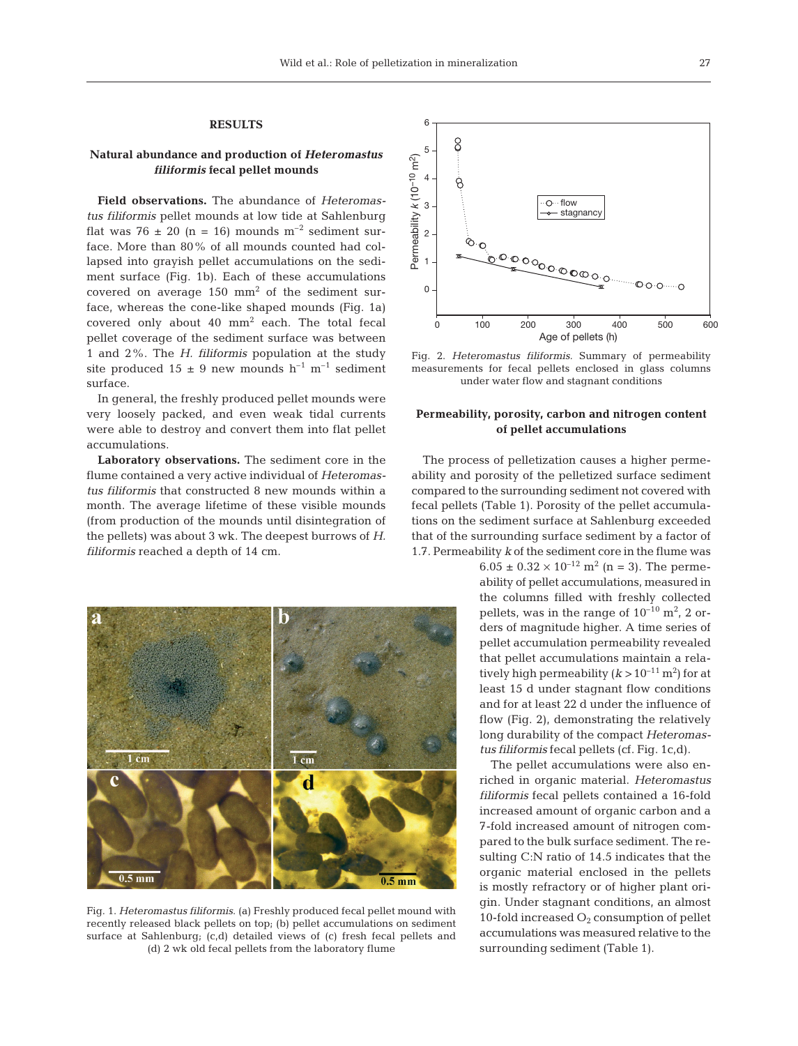## **RESULTS**

# **Natural abundance and production of** *Heteromastus filiformis* **fecal pellet mounds**

**Field observations.** The abundance of *Heteromastus filiformis* pellet mounds at low tide at Sahlenburg flat was 76  $\pm$  20 (n = 16) mounds m<sup>-2</sup> sediment surface. More than 80% of all mounds counted had collapsed into grayish pellet accumulations on the sediment surface (Fig. 1b). Each of these accumulations covered on average  $150 \text{ mm}^2$  of the sediment surface, whereas the cone-like shaped mounds (Fig. 1a) covered only about 40 mm2 each. The total fecal pellet coverage of the sediment surface was between 1 and 2%. The *H. filiformis* population at the study site produced  $15 \pm 9$  new mounds  $h^{-1}$  m<sup>-1</sup> sediment surface.

In general, the freshly produced pellet mounds were very loosely packed, and even weak tidal currents were able to destroy and convert them into flat pellet accumulations.

**Laboratory observations.** The sediment core in the flume contained a very active individual of *Heteromastus filiformis* that constructed 8 new mounds within a month. The average lifetime of these visible mounds (from production of the mounds until disintegration of the pellets) was about 3 wk. The deepest burrows of *H. filiformis* reached a depth of 14 cm.



Fig. 1. *Heteromastus filiformis*. (a) Freshly produced fecal pellet mound with recently released black pellets on top; (b) pellet accumulations on sediment surface at Sahlenburg; (c,d) detailed views of (c) fresh fecal pellets and (d) 2 wk old fecal pellets from the laboratory flume



Fig. 2. *Heteromastus filiformis.* Summary of permeability measurements for fecal pellets enclosed in glass columns under water flow and stagnant conditions

## **Permeability, porosity, carbon and nitrogen content of pellet accumulations**

The process of pelletization causes a higher permeability and porosity of the pelletized surface sediment compared to the surrounding sediment not covered with fecal pellets (Table 1). Porosity of the pellet accumulations on the sediment surface at Sahlenburg exceeded that of the surrounding surface sediment by a factor of 1.7. Permeability *k* of the sediment core in the flume was

 $6.05 \pm 0.32 \times 10^{-12}$  m<sup>2</sup> (n = 3). The permeability of pellet accumulations, measured in the columns filled with freshly collected pellets, was in the range of  $10^{-10}$   $\mathrm{m}^2$ ,  $2$  orders of magnitude higher. A time series of pellet accumulation permeability revealed that pellet accumulations maintain a relatively high permeability ( $k > 10^{-11}$  m<sup>2</sup>) for at least 15 d under stagnant flow conditions and for at least 22 d under the influence of flow (Fig. 2), demonstrating the relatively long durability of the compact *Heteromastus filiformis* fecal pellets (cf. Fig. 1c,d).

The pellet accumulations were also enriched in organic material. *Heteromastus filiformis* fecal pellets contained a 16-fold increased amount of organic carbon and a 7-fold increased amount of nitrogen compared to the bulk surface sediment. The resulting C:N ratio of 14.5 indicates that the organic material enclosed in the pellets is mostly refractory or of higher plant origin. Under stagnant conditions, an almost 10-fold increased  $O_2$  consumption of pellet accumulations was measured relative to the surrounding sediment (Table 1).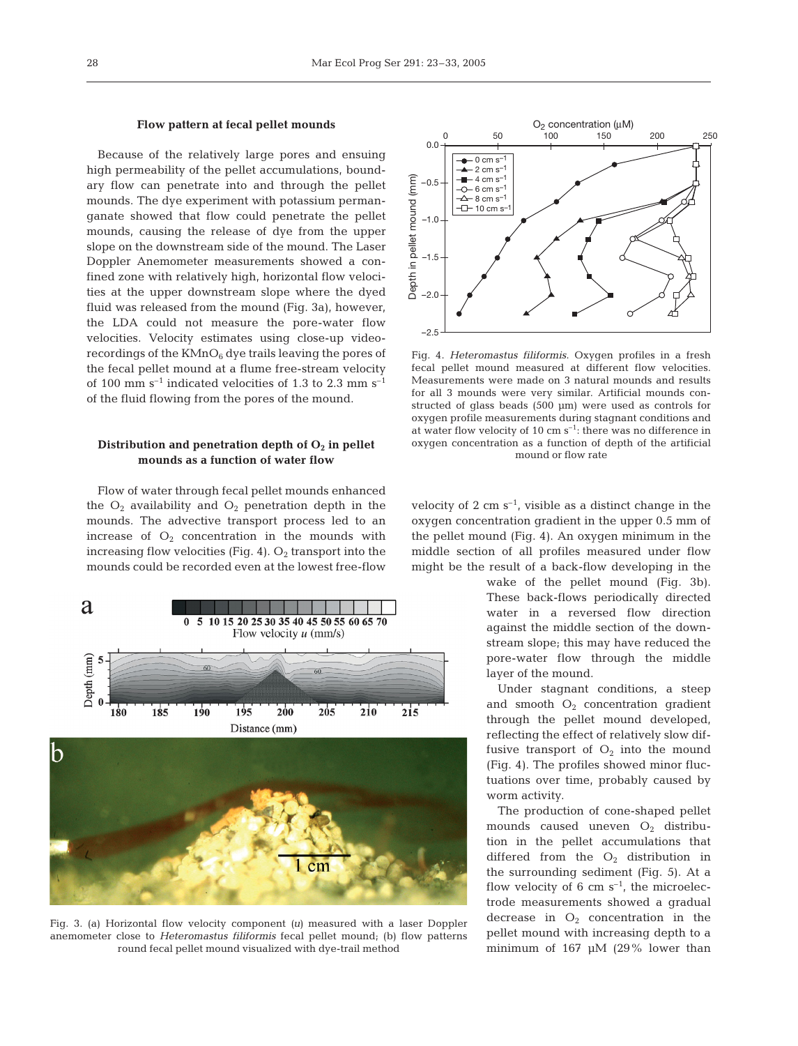## **Flow pattern at fecal pellet mounds**

Because of the relatively large pores and ensuing high permeability of the pellet accumulations, boundary flow can penetrate into and through the pellet mounds. The dye experiment with potassium permanganate showed that flow could penetrate the pellet mounds, causing the release of dye from the upper slope on the downstream side of the mound. The Laser Doppler Anemometer measurements showed a confined zone with relatively high, horizontal flow velocities at the upper downstream slope where the dyed fluid was released from the mound (Fig. 3a), however, the LDA could not measure the pore-water flow velocities. Velocity estimates using close-up videorecordings of the  $KMnO_6$  dye trails leaving the pores of the fecal pellet mound at a flume free-stream velocity of 100 mm  $s^{-1}$  indicated velocities of 1.3 to 2.3 mm  $s^{-1}$ of the fluid flowing from the pores of the mound.

# Distribution and penetration depth of  $O_2$  in pellet **mounds as a function of water flow**

Flow of water through fecal pellet mounds enhanced the  $O_2$  availability and  $O_2$  penetration depth in the mounds. The advective transport process led to an increase of  $O_2$  concentration in the mounds with increasing flow velocities (Fig. 4).  $O_2$  transport into the mounds could be recorded even at the lowest free-flow



Fig. 3. (a) Horizontal flow velocity component *(u)* measured with a laser Doppler anemometer close to *Heteromastus filiformis* fecal pellet mound; (b) flow patterns round fecal pellet mound visualized with dye-trail method



Fig. 4. *Heteromastus filiformis*. Oxygen profiles in a fresh fecal pellet mound measured at different flow velocities. Measurements were made on 3 natural mounds and results for all 3 mounds were very similar. Artificial mounds constructed of glass beads (500 µm) were used as controls for oxygen profile measurements during stagnant conditions and at water flow velocity of 10 cm  $s^{-1}$ : there was no difference in oxygen concentration as a function of depth of the artificial mound or flow rate

velocity of 2 cm  $s^{-1}$ , visible as a distinct change in the oxygen concentration gradient in the upper 0.5 mm of the pellet mound (Fig. 4). An oxygen minimum in the middle section of all profiles measured under flow might be the result of a back-flow developing in the

> wake of the pellet mound (Fig. 3b). These back-flows periodically directed water in a reversed flow direction against the middle section of the downstream slope; this may have reduced the pore-water flow through the middle layer of the mound.

> Under stagnant conditions, a steep and smooth  $O_2$  concentration gradient through the pellet mound developed, reflecting the effect of relatively slow diffusive transport of  $O_2$  into the mound (Fig. 4). The profiles showed minor fluctuations over time, probably caused by worm activity.

> The production of cone-shaped pellet mounds caused uneven  $O_2$  distribution in the pellet accumulations that differed from the  $O_2$  distribution in the surrounding sediment (Fig. 5). At a flow velocity of 6 cm  $s^{-1}$ , the microelectrode measurements showed a gradual decrease in  $O_2$  concentration in the pellet mound with increasing depth to a minimum of 167 µM (29% lower than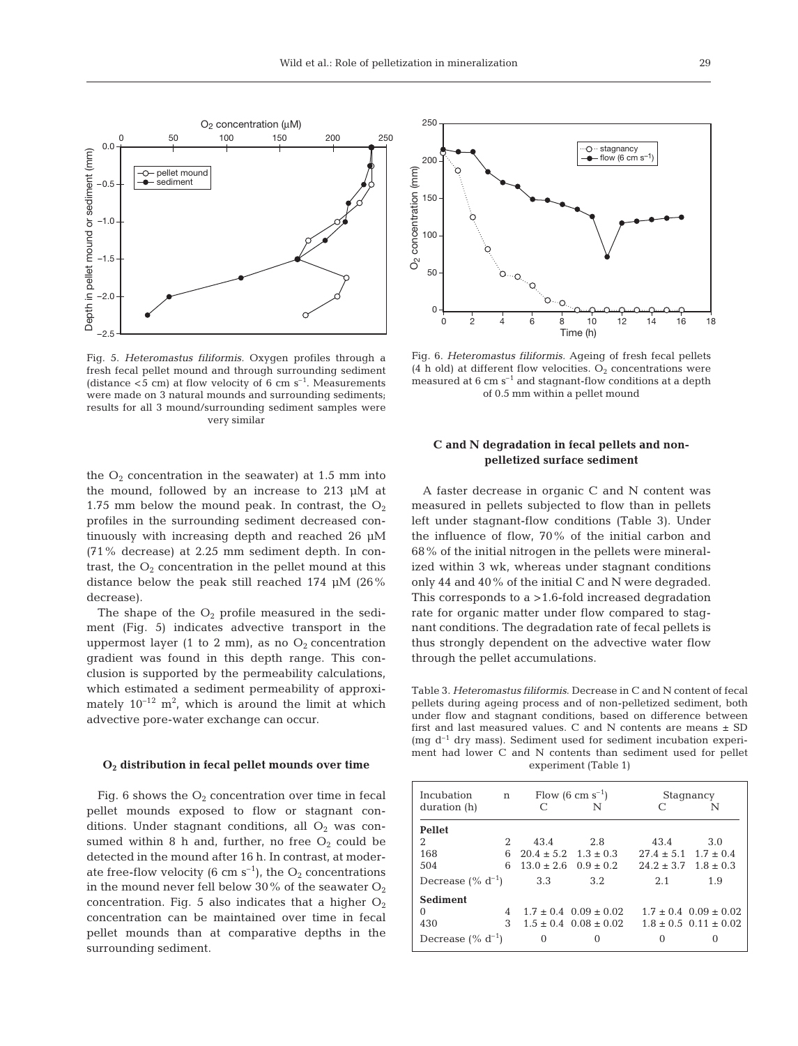

Fig. 5. *Heteromastus filiformis.* Oxygen profiles through a fresh fecal pellet mound and through surrounding sediment (distance  $<$  5 cm) at flow velocity of 6 cm s<sup>-1</sup>. Measurements were made on 3 natural mounds and surrounding sediments; results for all 3 mound/surrounding sediment samples were very similar

the  $O_2$  concentration in the seawater) at 1.5 mm into the mound, followed by an increase to 213 µM at 1.75 mm below the mound peak. In contrast, the  $O_2$ profiles in the surrounding sediment decreased continuously with increasing depth and reached 26 µM (71% decrease) at 2.25 mm sediment depth. In contrast, the  $O_2$  concentration in the pellet mound at this distance below the peak still reached 174 µM (26% decrease).

The shape of the  $O_2$  profile measured in the sediment (Fig. 5) indicates advective transport in the uppermost layer (1 to 2 mm), as no  $O_2$  concentration gradient was found in this depth range. This conclusion is supported by the permeability calculations, which estimated a sediment permeability of approximately  $10^{-12}$  m<sup>2</sup>, which is around the limit at which advective pore-water exchange can occur.

### **O2 distribution in fecal pellet mounds over time**

Fig. 6 shows the  $O<sub>2</sub>$  concentration over time in fecal pellet mounds exposed to flow or stagnant conditions. Under stagnant conditions, all  $O_2$  was consumed within 8 h and, further, no free  $O_2$  could be detected in the mound after 16 h. In contrast, at moderate free-flow velocity (6 cm  $s^{-1}$ ), the O<sub>2</sub> concentrations in the mound never fell below 30% of the seawater  $O_2$ concentration. Fig. 5 also indicates that a higher  $O_2$ concentration can be maintained over time in fecal pellet mounds than at comparative depths in the surrounding sediment.



Fig. 6. *Heteromastus filiformis.* Ageing of fresh fecal pellets (4 h old) at different flow velocities.  $O_2$  concentrations were measured at  $6 \text{ cm s}^{-1}$  and stagnant-flow conditions at a depth of 0.5 mm within a pellet mound

# **C and N degradation in fecal pellets and nonpelletized surface sediment**

A faster decrease in organic C and N content was measured in pellets subjected to flow than in pellets left under stagnant-flow conditions (Table 3). Under the influence of flow, 70% of the initial carbon and 68% of the initial nitrogen in the pellets were mineralized within 3 wk, whereas under stagnant conditions only 44 and 40% of the initial C and N were degraded. This corresponds to a >1.6-fold increased degradation rate for organic matter under flow compared to stagnant conditions. The degradation rate of fecal pellets is thus strongly dependent on the advective water flow through the pellet accumulations.

Table 3. *Heteromastus filiformis*. Decrease in C and N content of fecal pellets during ageing process and of non-pelletized sediment, both under flow and stagnant conditions, based on difference between first and last measured values. C and N contents are means  $\pm$  SD (mg  $d^{-1}$  dry mass). Sediment used for sediment incubation experiment had lower C and N contents than sediment used for pellet experiment (Table 1)

| Incubation             | n |                              | Flow $(6 \text{ cm s}^{-1})$  | Stagnancy                    |                               |  |  |
|------------------------|---|------------------------------|-------------------------------|------------------------------|-------------------------------|--|--|
| duration (h)           |   |                              |                               |                              |                               |  |  |
| <b>Pellet</b>          |   |                              |                               |                              |                               |  |  |
| 2                      | 2 | 43.4                         | 2.8                           | 43.4                         | 3.0                           |  |  |
| 168                    | 6 | $20.4 \pm 5.2$ $1.3 \pm 0.3$ |                               | $27.4 \pm 5.1$ $1.7 \pm 0.4$ |                               |  |  |
| 504                    | 6 | $13.0 + 2.6$ $0.9 + 0.2$     |                               | $24.2 \pm 3.7$ $1.8 \pm 0.3$ |                               |  |  |
| Decrease $(\% d^{-1})$ |   | 3.3                          | 3.2                           | 2.1                          | 1.9                           |  |  |
| <b>Sediment</b>        |   |                              |                               |                              |                               |  |  |
| $\Omega$               | 4 |                              | $1.7 \pm 0.4$ $0.09 \pm 0.02$ |                              | $1.7 \pm 0.4$ $0.09 \pm 0.02$ |  |  |
| 430                    | 3 |                              | $1.5 + 0.4$ $0.08 + 0.02$     |                              | $1.8 + 0.5$ 0.11 + 0.02       |  |  |
| Decrease $(\% d^{-1})$ |   | 0                            | $\Omega$                      |                              |                               |  |  |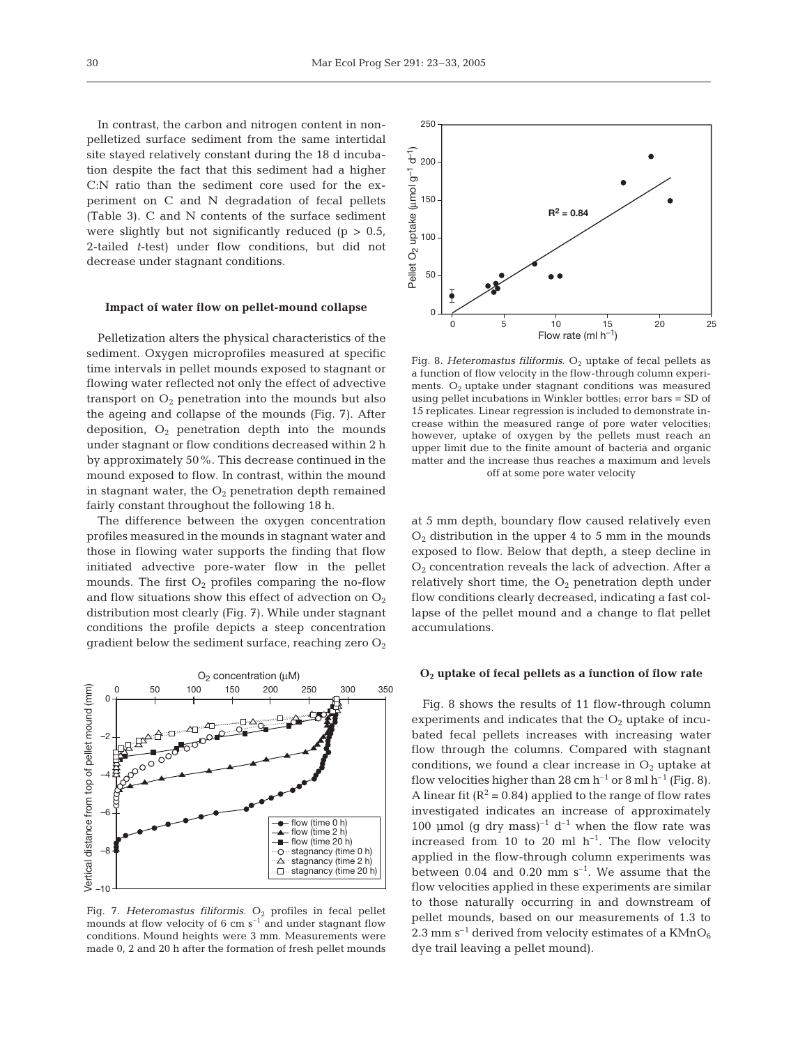In contrast, the carbon and nitrogen content in nonpelletized surface sediment from the same intertidal site stayed relatively constant during the 18 d incubation despite the fact that this sediment had a higher C:N ratio than the sediment core used for the experiment on C and N degradation of fecal pellets (Table 3). C and N contents of the surface sediment were slightly but not significantly reduced ( $p > 0.5$ , 2-tailed *t*-test) under flow conditions, but did not decrease under stagnant conditions.

#### **Impact of water flow on pellet-mound collapse**

Pelletization alters the physical characteristics of the sediment. Oxygen microprofiles measured at specific time intervals in pellet mounds exposed to stagnant or flowing water reflected not only the effect of advective transport on  $O_2$  penetration into the mounds but also the ageing and collapse of the mounds (Fig. 7). After deposition,  $O_2$  penetration depth into the mounds under stagnant or flow conditions decreased within 2 h by approximately 50%. This decrease continued in the mound exposed to flow. In contrast, within the mound in stagnant water, the  $O_2$  penetration depth remained fairly constant throughout the following 18 h.

The difference between the oxygen concentration profiles measured in the mounds in stagnant water and those in flowing water supports the finding that flow initiated advective pore-water flow in the pellet mounds. The first  $O_2$  profiles comparing the no-flow and flow situations show this effect of advection on  $O_2$ distribution most clearly (Fig. 7). While under stagnant conditions the profile depicts a steep concentration gradient below the sediment surface, reaching zero  $O_2$ 



Fig. 7. *Heteromastus filiformis*.  $O_2$  profiles in fecal pellet mounds at flow velocity of 6 cm  $s^{-1}$  and under stagnant flow conditions. Mound heights were 3 mm. Measurements were made 0, 2 and 20 h after the formation of fresh pellet mounds



Fig. 8. *Heteromastus filiformis*. O<sub>2</sub> uptake of fecal pellets as a function of flow velocity in the flow-through column experiments.  $O_2$  uptake under stagnant conditions was measured using pellet incubations in Winkler bottles; error bars = SD of 15 replicates. Linear regression is included to demonstrate increase within the measured range of pore water velocities; however, uptake of oxygen by the pellets must reach an upper limit due to the finite amount of bacteria and organic matter and the increase thus reaches a maximum and levels off at some pore water velocity

at 5 mm depth, boundary flow caused relatively even  $O<sub>2</sub>$  distribution in the upper 4 to 5 mm in the mounds exposed to flow. Below that depth, a steep decline in  $O<sub>2</sub>$  concentration reveals the lack of advection. After a relatively short time, the  $O_2$  penetration depth under flow conditions clearly decreased, indicating a fast collapse of the pellet mound and a change to flat pellet accumulations.

#### **O2 uptake of fecal pellets as a function of flow rate**

Fig. 8 shows the results of 11 flow-through column experiments and indicates that the  $O<sub>2</sub>$  uptake of incubated fecal pellets increases with increasing water flow through the columns. Compared with stagnant conditions, we found a clear increase in  $O<sub>2</sub>$  uptake at flow velocities higher than 28 cm  $h^{-1}$  or 8 ml  $h^{-1}$  (Fig. 8). A linear fit ( $\mathbb{R}^2$  = 0.84) applied to the range of flow rates investigated indicates an increase of approximately 100 µmol (q dry mass)<sup>-1</sup> d<sup>-1</sup> when the flow rate was increased from 10 to 20 ml  $h^{-1}$ . The flow velocity applied in the flow-through column experiments was between  $0.04$  and  $0.20$  mm s<sup>-1</sup>. We assume that the flow velocities applied in these experiments are similar to those naturally occurring in and downstream of pellet mounds, based on our measurements of 1.3 to 2.3 mm  $s^{-1}$  derived from velocity estimates of a KMnO<sub>6</sub> dye trail leaving a pellet mound).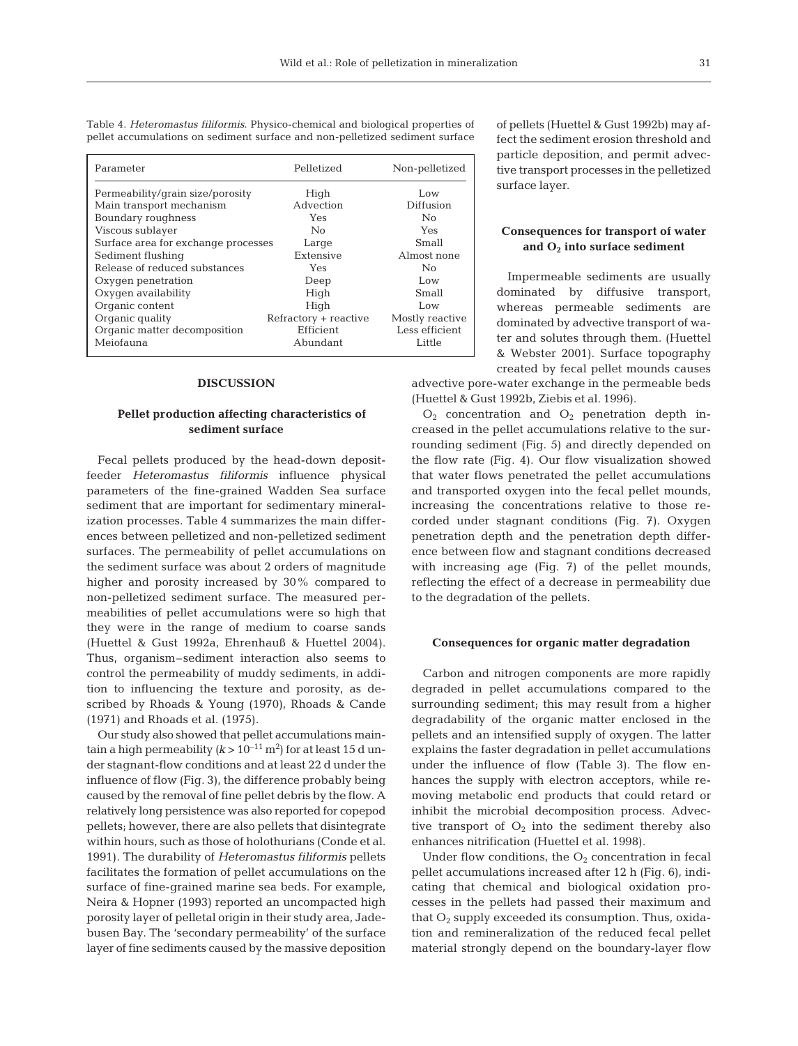| Parameter                           | Pelletized            | Non-pelletized  |  |  |
|-------------------------------------|-----------------------|-----------------|--|--|
| Permeability/grain size/porosity    | High                  | Low             |  |  |
| Main transport mechanism            | Advection             | Diffusion       |  |  |
| Boundary roughness                  | Yes                   | No              |  |  |
| Viscous sublayer                    | No                    | Yes             |  |  |
| Surface area for exchange processes | Large                 | Small           |  |  |
| Sediment flushing                   | Extensive             | Almost none     |  |  |
| Release of reduced substances       | Yes                   | No              |  |  |
| Oxygen penetration                  | Deep                  | Low             |  |  |
| Oxygen availability                 | High                  | Small           |  |  |
| Organic content                     | High                  | Low             |  |  |
| Organic quality                     | Refractory + reactive | Mostly reactive |  |  |
| Organic matter decomposition        | Efficient             | Less efficient  |  |  |
| Meiofauna                           | Abundant              | Little          |  |  |

Table 4. *Heteromastus filiformis*. Physico-chemical and biological properties of pellet accumulations on sediment surface and non-pelletized sediment surface

### **DISCUSSION**

# **Pellet production affecting characteristics of sediment surface**

Fecal pellets produced by the head-down depositfeeder *Heteromastus filiformis* influence physical parameters of the fine-grained Wadden Sea surface sediment that are important for sedimentary mineralization processes. Table 4 summarizes the main differences between pelletized and non-pelletized sediment surfaces. The permeability of pellet accumulations on the sediment surface was about 2 orders of magnitude higher and porosity increased by 30% compared to non-pelletized sediment surface. The measured permeabilities of pellet accumulations were so high that they were in the range of medium to coarse sands (Huettel & Gust 1992a, Ehrenhauß & Huettel 2004). Thus, organism–sediment interaction also seems to control the permeability of muddy sediments, in addition to influencing the texture and porosity, as described by Rhoads & Young (1970), Rhoads & Cande (1971) and Rhoads et al. (1975).

Our study also showed that pellet accumulations maintain a high permeability ( $k > 10^{-11}$  m<sup>2</sup>) for at least 15 d under stagnant-flow conditions and at least 22 d under the influence of flow (Fig. 3), the difference probably being caused by the removal of fine pellet debris by the flow. A relatively long persistence was also reported for copepod pellets; however, there are also pellets that disintegrate within hours, such as those of holothurians (Conde et al. 1991). The durability of *Heteromastus filiformis* pellets facilitates the formation of pellet accumulations on the surface of fine-grained marine sea beds. For example, Neira & Hopner (1993) reported an uncompacted high porosity layer of pelletal origin in their study area, Jadebusen Bay. The 'secondary permeability' of the surface layer of fine sediments caused by the massive deposition

of pellets (Huettel & Gust 1992b) may affect the sediment erosion threshold and particle deposition, and permit advective transport processes in the pelletized surface layer.

## **Consequences for transport of water and O2 into surface sediment**

Impermeable sediments are usually dominated by diffusive transport, whereas permeable sediments are dominated by advective transport of water and solutes through them. (Huettel & Webster 2001). Surface topography created by fecal pellet mounds causes

advective pore-water exchange in the permeable beds (Huettel & Gust 1992b, Ziebis et al. 1996).

 $O<sub>2</sub>$  concentration and  $O<sub>2</sub>$  penetration depth increased in the pellet accumulations relative to the surrounding sediment (Fig. 5) and directly depended on the flow rate (Fig. 4). Our flow visualization showed that water flows penetrated the pellet accumulations and transported oxygen into the fecal pellet mounds, increasing the concentrations relative to those recorded under stagnant conditions (Fig. 7). Oxygen penetration depth and the penetration depth difference between flow and stagnant conditions decreased with increasing age (Fig. 7) of the pellet mounds, reflecting the effect of a decrease in permeability due to the degradation of the pellets.

#### **Consequences for organic matter degradation**

Carbon and nitrogen components are more rapidly degraded in pellet accumulations compared to the surrounding sediment; this may result from a higher degradability of the organic matter enclosed in the pellets and an intensified supply of oxygen. The latter explains the faster degradation in pellet accumulations under the influence of flow (Table 3). The flow enhances the supply with electron acceptors, while removing metabolic end products that could retard or inhibit the microbial decomposition process. Advective transport of  $O_2$  into the sediment thereby also enhances nitrification (Huettel et al. 1998).

Under flow conditions, the  $O_2$  concentration in fecal pellet accumulations increased after 12 h (Fig. 6), indicating that chemical and biological oxidation processes in the pellets had passed their maximum and that  $O_2$  supply exceeded its consumption. Thus, oxidation and remineralization of the reduced fecal pellet material strongly depend on the boundary-layer flow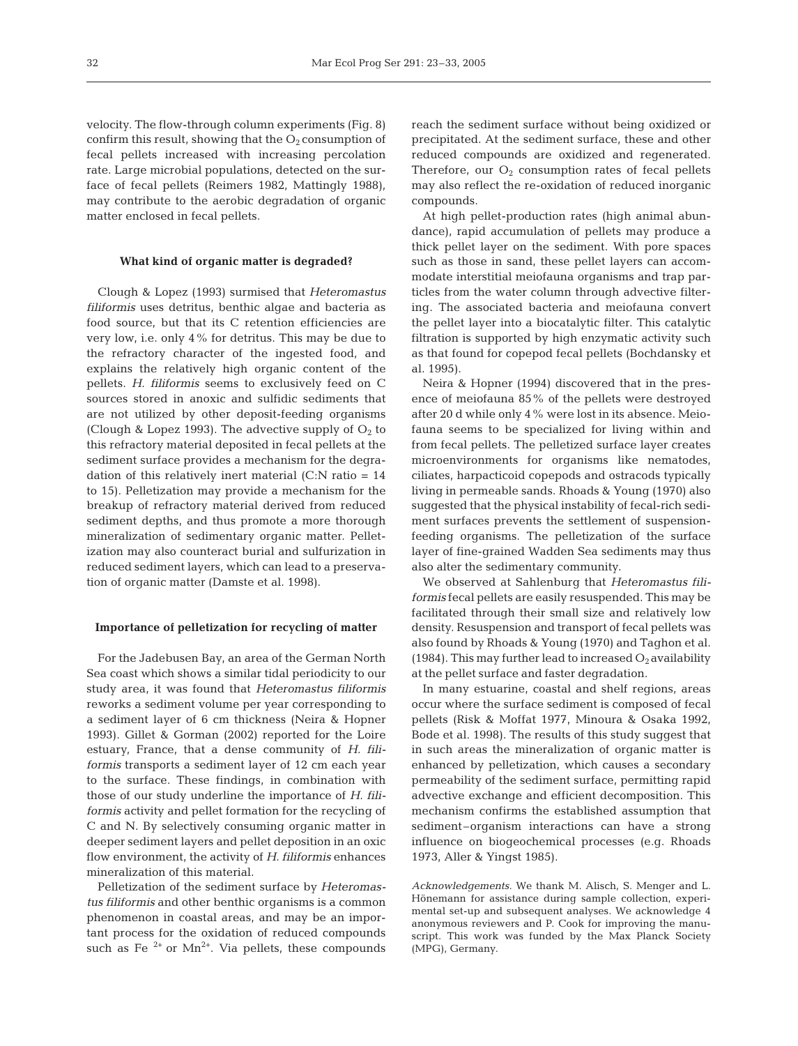velocity. The flow-through column experiments (Fig. 8) confirm this result, showing that the  $O<sub>2</sub>$  consumption of fecal pellets increased with increasing percolation rate. Large microbial populations, detected on the surface of fecal pellets (Reimers 1982, Mattingly 1988), may contribute to the aerobic degradation of organic matter enclosed in fecal pellets.

#### **What kind of organic matter is degraded?**

Clough & Lopez (1993) surmised that *Heteromastus filiformis* uses detritus, benthic algae and bacteria as food source, but that its C retention efficiencies are very low, i.e. only 4% for detritus. This may be due to the refractory character of the ingested food, and explains the relatively high organic content of the pellets. *H. filiformis* seems to exclusively feed on C sources stored in anoxic and sulfidic sediments that are not utilized by other deposit-feeding organisms (Clough & Lopez 1993). The advective supply of  $O<sub>2</sub>$  to this refractory material deposited in fecal pellets at the sediment surface provides a mechanism for the degradation of this relatively inert material  $(C: N \text{ ratio} = 14)$ to 15). Pelletization may provide a mechanism for the breakup of refractory material derived from reduced sediment depths, and thus promote a more thorough mineralization of sedimentary organic matter. Pelletization may also counteract burial and sulfurization in reduced sediment layers, which can lead to a preservation of organic matter (Damste et al. 1998).

#### **Importance of pelletization for recycling of matter**

For the Jadebusen Bay, an area of the German North Sea coast which shows a similar tidal periodicity to our study area, it was found that *Heteromastus filiformis* reworks a sediment volume per year corresponding to a sediment layer of 6 cm thickness (Neira & Hopner 1993). Gillet & Gorman (2002) reported for the Loire estuary, France, that a dense community of *H. filiformis* transports a sediment layer of 12 cm each year to the surface. These findings, in combination with those of our study underline the importance of *H. filiformis* activity and pellet formation for the recycling of C and N. By selectively consuming organic matter in deeper sediment layers and pellet deposition in an oxic flow environment, the activity of *H. filiformis* enhances mineralization of this material.

Pelletization of the sediment surface by *Heteromastus filiformis* and other benthic organisms is a common phenomenon in coastal areas, and may be an important process for the oxidation of reduced compounds such as Fe<sup> $2+$ </sup> or Mn<sup>2+</sup>. Via pellets, these compounds reach the sediment surface without being oxidized or precipitated. At the sediment surface, these and other reduced compounds are oxidized and regenerated. Therefore, our  $O_2$  consumption rates of fecal pellets may also reflect the re-oxidation of reduced inorganic compounds.

At high pellet-production rates (high animal abundance), rapid accumulation of pellets may produce a thick pellet layer on the sediment. With pore spaces such as those in sand, these pellet layers can accommodate interstitial meiofauna organisms and trap particles from the water column through advective filtering. The associated bacteria and meiofauna convert the pellet layer into a biocatalytic filter. This catalytic filtration is supported by high enzymatic activity such as that found for copepod fecal pellets (Bochdansky et al. 1995).

Neira & Hopner (1994) discovered that in the presence of meiofauna 85% of the pellets were destroyed after 20 d while only 4% were lost in its absence. Meiofauna seems to be specialized for living within and from fecal pellets. The pelletized surface layer creates microenvironments for organisms like nematodes, ciliates, harpacticoid copepods and ostracods typically living in permeable sands. Rhoads & Young (1970) also suggested that the physical instability of fecal-rich sediment surfaces prevents the settlement of suspensionfeeding organisms. The pelletization of the surface layer of fine-grained Wadden Sea sediments may thus also alter the sedimentary community.

We observed at Sahlenburg that *Heteromastus filiformis* fecal pellets are easily resuspended. This may be facilitated through their small size and relatively low density. Resuspension and transport of fecal pellets was also found by Rhoads & Young (1970) and Taghon et al. (1984). This may further lead to increased  $O_2$  availability at the pellet surface and faster degradation.

In many estuarine, coastal and shelf regions, areas occur where the surface sediment is composed of fecal pellets (Risk & Moffat 1977, Minoura & Osaka 1992, Bode et al. 1998). The results of this study suggest that in such areas the mineralization of organic matter is enhanced by pelletization, which causes a secondary permeability of the sediment surface, permitting rapid advective exchange and efficient decomposition. This mechanism confirms the established assumption that sediment–organism interactions can have a strong influence on biogeochemical processes (e.g. Rhoads 1973, Aller & Yingst 1985).

*Acknowledgements.* We thank M. Alisch, S. Menger and L. Hönemann for assistance during sample collection, experimental set-up and subsequent analyses. We acknowledge 4 anonymous reviewers and P. Cook for improving the manuscript. This work was funded by the Max Planck Society (MPG), Germany.